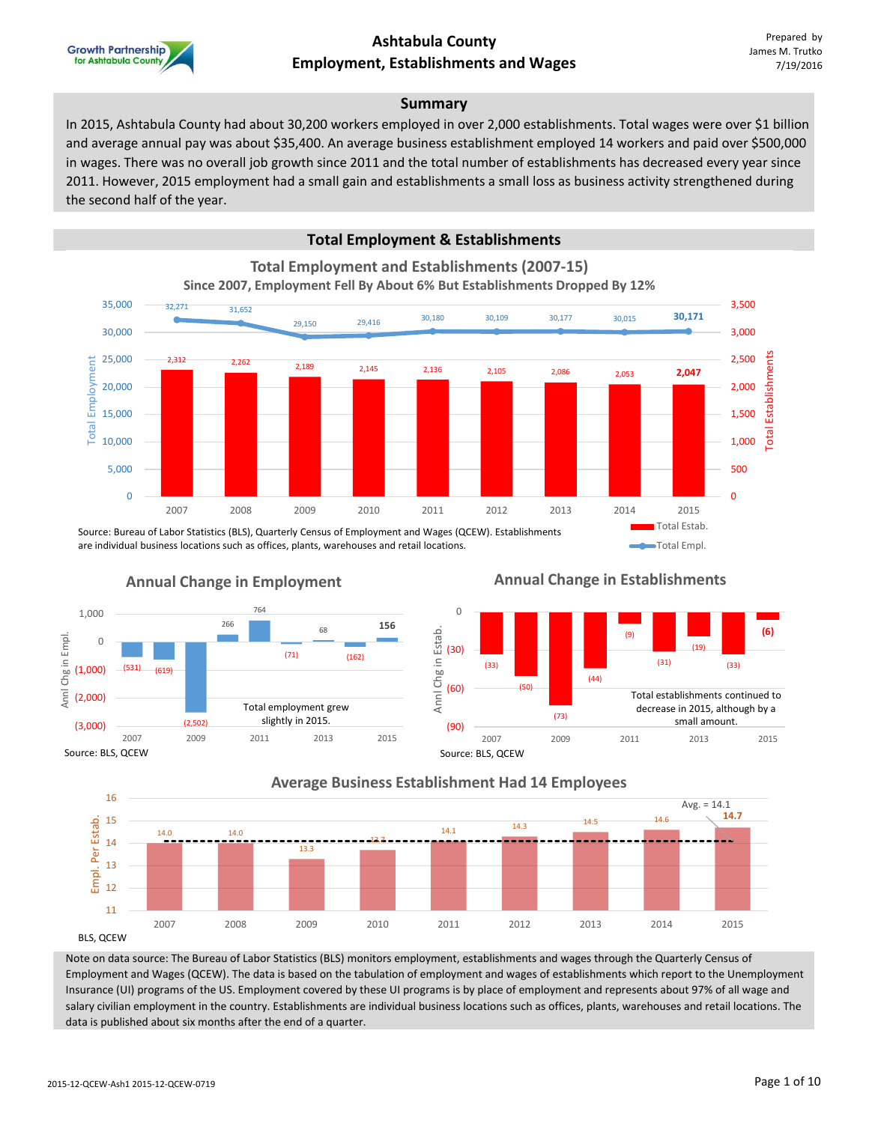

#### **Summary**

In 2015, Ashtabula County had about 30,200 workers employed in over 2,000 establishments. Total wages were over \$1 billion and average annual pay was about \$35,400. An average business establishment employed 14 workers and paid over \$500,000 in wages. There was no overall job growth since 2011 and the total number of establishments has decreased every year since 2011. However, 2015 employment had a small gain and establishments a small loss as business activity strengthened during the second half of the year.

### **Total Employment & Establishments**

**Total Employment and Establishments (2007-15)**



Source: Bureau of Labor Statistics (BLS), Quarterly Census of Employment and Wages (QCEW). Establishments are individual business locations such as offices, plants, warehouses and retail locations.



### **Annual Change in Establishments**

Total Empl.





### **Average Business Establishment Had 14 Employees**

Note on data source: The Bureau of Labor Statistics (BLS) monitors employment, establishments and wages through the Quarterly Census of Employment and Wages (QCEW). The data is based on the tabulation of employment and wages of establishments which report to the Unemployment Insurance (UI) programs of the US. Employment covered by these UI programs is by place of employment and represents about 97% of all wage and salary civilian employment in the country. Establishments are individual business locations such as offices, plants, warehouses and retail locations. The data is published about six months after the end of a quarter.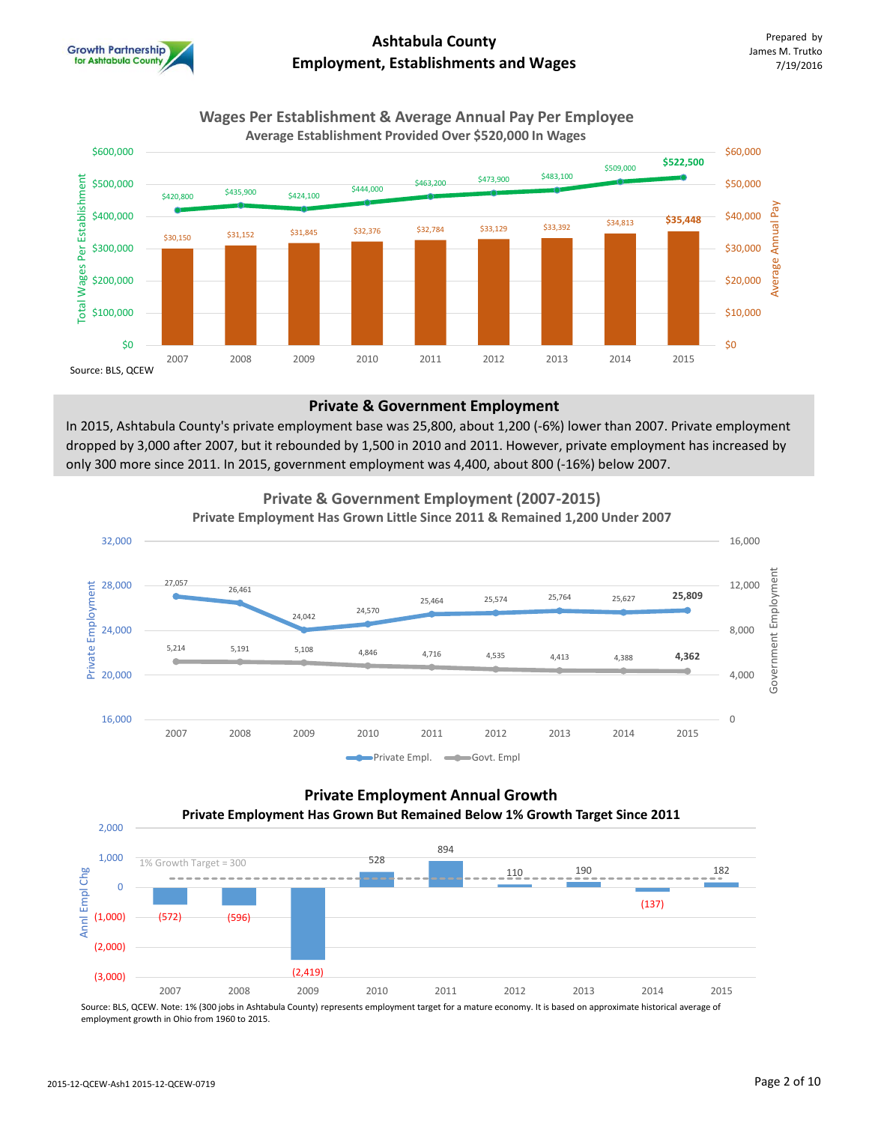

#### **Wages Per Establishment & Average Annual Pay Per Employee Average Establishment Provided Over \$520,000 In Wages**



#### **Private & Government Employment**

In 2015, Ashtabula County's private employment base was 25,800, about 1,200 (-6%) lower than 2007. Private employment dropped by 3,000 after 2007, but it rebounded by 1,500 in 2010 and 2011. However, private employment has increased by only 300 more since 2011. In 2015, government employment was 4,400, about 800 (-16%) below 2007.



### **Private Employment Annual Growth Private Employment Has Grown But Remained Below 1% Growth Target Since 2011**



Source: BLS, QCEW. Note: 1% (300 jobs in Ashtabula County) represents employment target for a mature economy. It is based on approximate historical average of employment growth in Ohio from 1960 to 2015.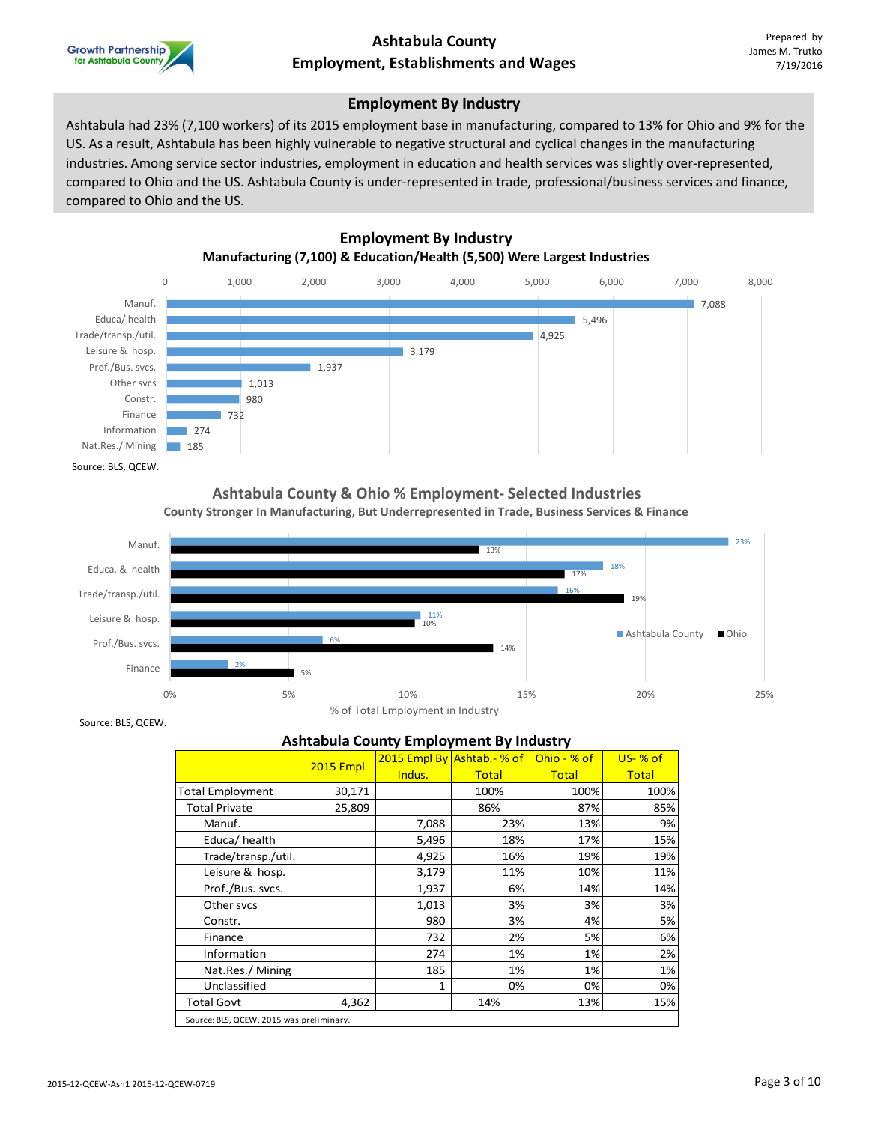

### **Employment By Industry**

Ashtabula had 23% (7,100 workers) of its 2015 employment base in manufacturing, compared to 13% for Ohio and 9% for the US. As a result, Ashtabula has been highly vulnerable to negative structural and cyclical changes in the manufacturing industries. Among service sector industries, employment in education and health services was slightly over-represented, compared to Ohio and the US. Ashtabula County is under-represented in trade, professional/business services and finance, compared to Ohio and the US.



#### **Ashtabula County & Ohio % Employment- Selected Industries County Stronger In Manufacturing, But Underrepresented in Trade, Business Services & Finance**



Source: BLS, QCEW.

#### **Ashtabula County Employment By Industry**

|                                          | <b>2015 Empl</b> |        | 2015 Empl By Ashtab. - % of | Ohio - $%$ of | $US- % of$   |  |  |  |  |
|------------------------------------------|------------------|--------|-----------------------------|---------------|--------------|--|--|--|--|
|                                          |                  | Indus. | <b>Total</b>                | <b>Total</b>  | <b>Total</b> |  |  |  |  |
| <b>Total Employment</b>                  | 30,171           |        | 100%                        | 100%          | 100%         |  |  |  |  |
| <b>Total Private</b>                     | 25,809           |        | 86%                         | 87%           | 85%          |  |  |  |  |
| Manuf.                                   |                  | 7,088  | 23%                         | 13%           | 9%           |  |  |  |  |
| Educa/health                             |                  | 5,496  | 18%                         | 17%           | 15%          |  |  |  |  |
| Trade/transp./util.                      |                  | 4,925  | 16%                         | 19%           | 19%          |  |  |  |  |
| Leisure & hosp.                          |                  | 3,179  | 11%                         | 10%           | 11%          |  |  |  |  |
| Prof./Bus. svcs.                         |                  | 1,937  | 6%                          | 14%           | 14%          |  |  |  |  |
| Other svcs                               |                  | 1,013  | 3%                          | 3%            | 3%           |  |  |  |  |
| Constr.                                  |                  | 980    | 3%                          | 4%            | 5%           |  |  |  |  |
| Finance                                  |                  | 732    | 2%                          | 5%            | 6%           |  |  |  |  |
| Information                              |                  | 274    | 1%                          | 1%            | 2%           |  |  |  |  |
| Nat.Res./ Mining                         |                  | 185    | 1%                          | 1%            | 1%           |  |  |  |  |
| Unclassified                             |                  | 1      | 0%                          | 0%            | 0%           |  |  |  |  |
| <b>Total Govt</b>                        | 4,362            |        | 14%                         | 13%           | 15%          |  |  |  |  |
| Source: BLS, QCEW. 2015 was preliminary. |                  |        |                             |               |              |  |  |  |  |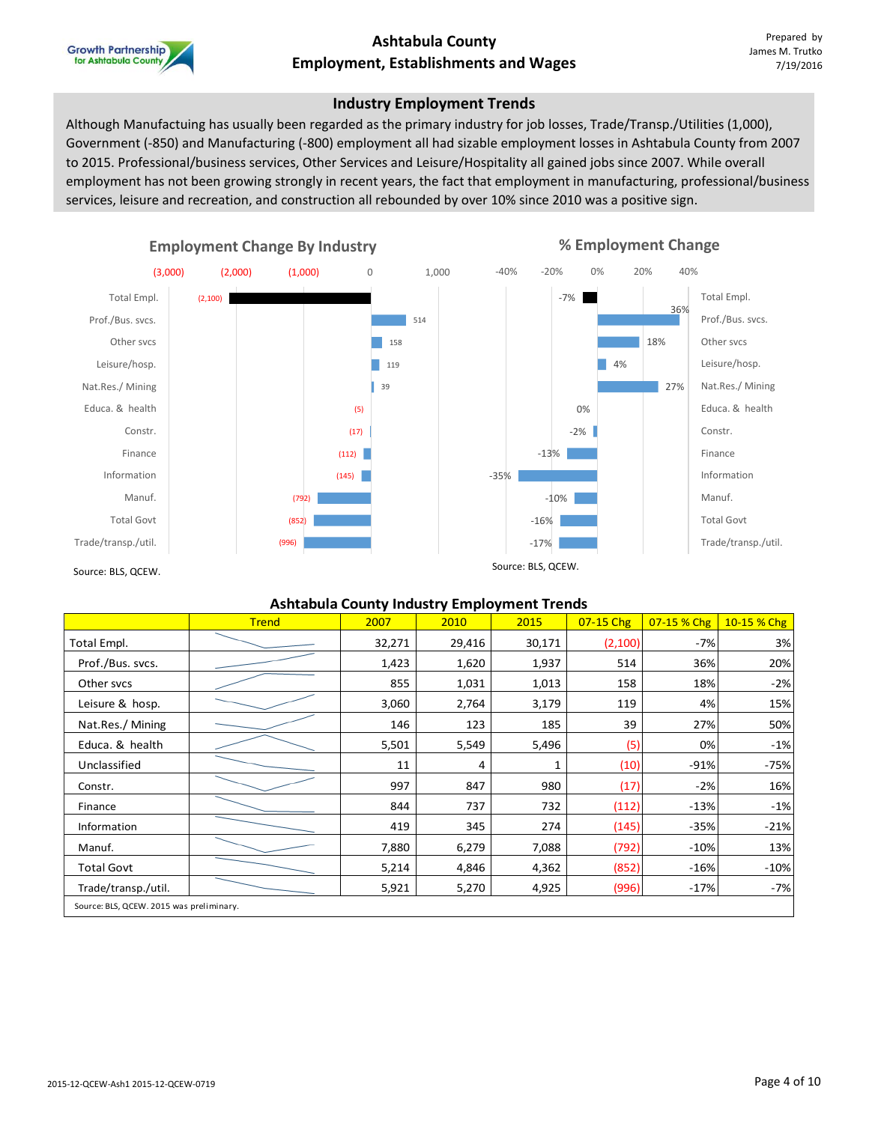

### **Industry Employment Trends**

Although Manufactuing has usually been regarded as the primary industry for job losses, Trade/Transp./Utilities (1,000), Government (-850) and Manufacturing (-800) employment all had sizable employment losses in Ashtabula County from 2007 to 2015. Professional/business services, Other Services and Leisure/Hospitality all gained jobs since 2007. While overall employment has not been growing strongly in recent years, the fact that employment in manufacturing, professional/business services, leisure and recreation, and construction all rebounded by over 10% since 2010 was a positive sign.



#### **Ashtabula County Industry Employment Trends**

|                                          | <b>Trend</b> | 2007   | 2010   | 2015   | 07-15 Chg | 07-15 % Chg | 10-15 % Chg |
|------------------------------------------|--------------|--------|--------|--------|-----------|-------------|-------------|
| Total Empl.                              |              | 32,271 | 29,416 | 30,171 | (2,100)   | $-7%$       | 3%          |
| Prof./Bus. svcs.                         |              | 1,423  | 1,620  | 1,937  | 514       | 36%         | 20%         |
| Other svcs                               |              | 855    | 1,031  | 1,013  | 158       | 18%         | $-2%$       |
| Leisure & hosp.                          |              | 3,060  | 2,764  | 3,179  | 119       | 4%          | 15%         |
| Nat.Res./Mining                          |              | 146    | 123    | 185    | 39        | 27%         | 50%         |
| Educa. & health                          |              | 5,501  | 5,549  | 5,496  | (5)       | 0%          | $-1%$       |
| Unclassified                             |              | 11     | 4      | 1      | (10)      | $-91%$      | $-75%$      |
| Constr.                                  |              | 997    | 847    | 980    | (17)      | $-2%$       | 16%         |
| Finance                                  |              | 844    | 737    | 732    | (112)     | $-13%$      | $-1%$       |
| Information                              |              | 419    | 345    | 274    | (145)     | $-35%$      | $-21%$      |
| Manuf.                                   |              | 7,880  | 6,279  | 7,088  | (792)     | $-10%$      | 13%         |
| <b>Total Govt</b>                        |              | 5,214  | 4,846  | 4,362  | (852)     | $-16%$      | $-10%$      |
| Trade/transp./util.                      |              | 5,921  | 5,270  | 4,925  | (996)     | $-17%$      | $-7%$       |
| Source: BLS, QCEW. 2015 was preliminary. |              |        |        |        |           |             |             |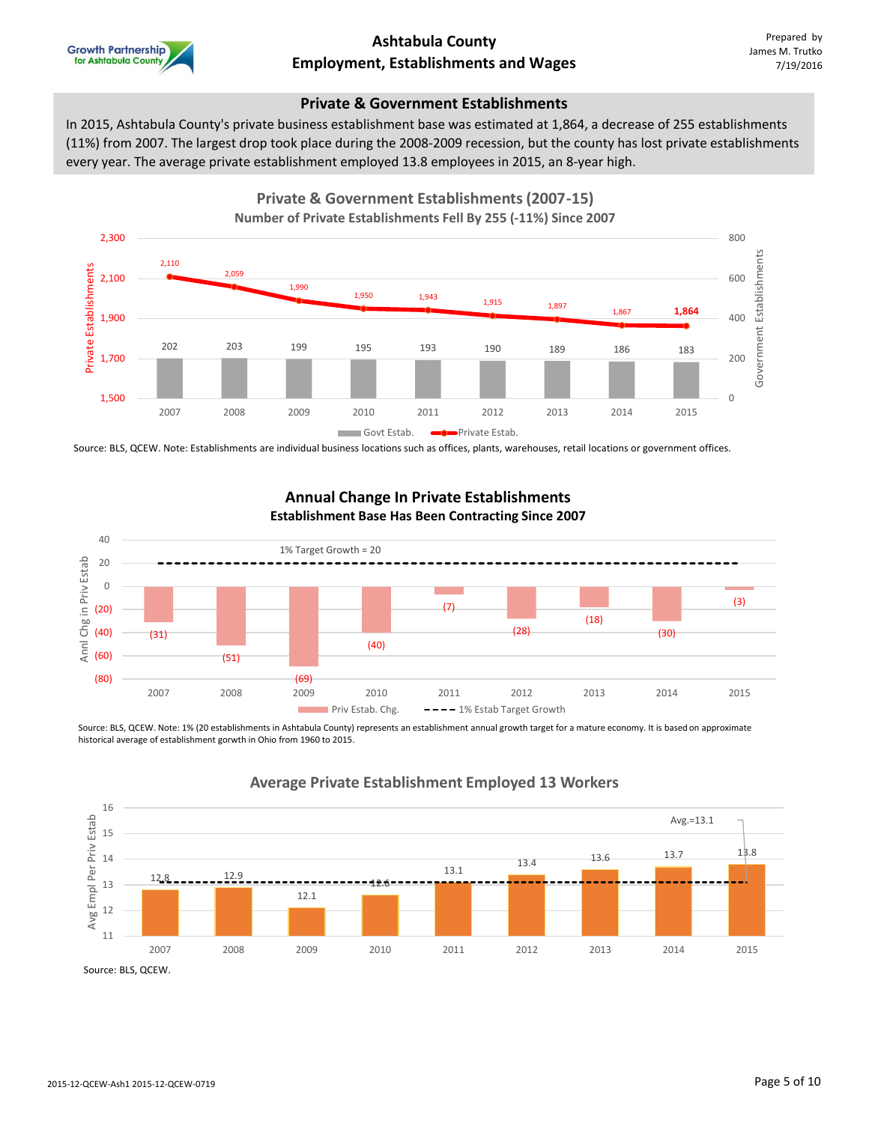

#### **Private & Government Establishments**

In 2015, Ashtabula County's private business establishment base was estimated at 1,864, a decrease of 255 establishments (11%) from 2007. The largest drop took place during the 2008-2009 recession, but the county has lost private establishments every year. The average private establishment employed 13.8 employees in 2015, an 8-year high.



Source: BLS, QCEW. Note: Establishments are individual business locations such as offices, plants, warehouses, retail locations or government offices.



**Annual Change In Private Establishments**

# Source: BLS, QCEW. Note: 1% (20 establishments in Ashtabula County) represents an establishment annual growth target for a mature economy. It is based on approximate

historical average of establishment gorwth in Ohio from 1960 to 2015.



### **Average Private Establishment Employed 13 Workers**

Source: BLS, QCEW.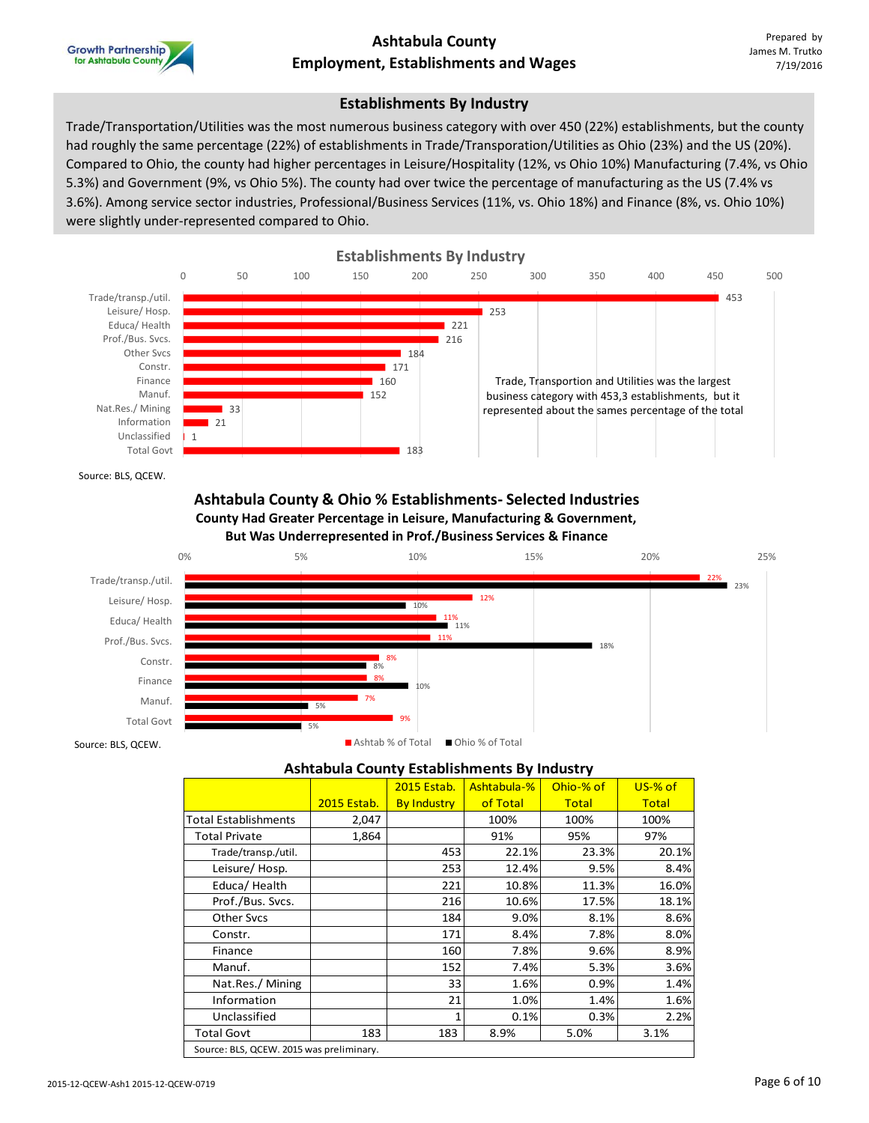

#### **Establishments By Industry**

Trade/Transportation/Utilities was the most numerous business category with over 450 (22%) establishments, but the county had roughly the same percentage (22%) of establishments in Trade/Transporation/Utilities as Ohio (23%) and the US (20%). Compared to Ohio, the county had higher percentages in Leisure/Hospitality (12%, vs Ohio 10%) Manufacturing (7.4%, vs Ohio 5.3%) and Government (9%, vs Ohio 5%). The county had over twice the percentage of manufacturing as the US (7.4% vs 3.6%). Among service sector industries, Professional/Business Services (11%, vs. Ohio 18%) and Finance (8%, vs. Ohio 10%) were slightly under-represented compared to Ohio.



Source: BLS, QCEW.

#### **Ashtabula County & Ohio % Establishments- Selected Industries County Had Greater Percentage in Leisure, Manufacturing & Government, But Was Underrepresented in Prof./Business Services & Finance**



### **Ashtabula County Establishments By Industry**

|                             |                                          | 2015 Estab.        | Ashtabula-% | Ohio-% of    | $US-%$ of    |  |  |  |  |  |
|-----------------------------|------------------------------------------|--------------------|-------------|--------------|--------------|--|--|--|--|--|
|                             | 2015 Estab.                              | <b>By Industry</b> | of Total    | <b>Total</b> | <b>Total</b> |  |  |  |  |  |
| <b>Total Establishments</b> | 2,047                                    |                    | 100%        | 100%         | 100%         |  |  |  |  |  |
| <b>Total Private</b>        | 1,864                                    |                    | 91%         | 95%          | 97%          |  |  |  |  |  |
| Trade/transp./util.         |                                          | 453                | 22.1%       | 23.3%        | 20.1%        |  |  |  |  |  |
| Leisure/Hosp.               |                                          | 253                | 12.4%       | 9.5%         | 8.4%         |  |  |  |  |  |
| Educa/Health                |                                          | 221                | 10.8%       | 11.3%        | 16.0%        |  |  |  |  |  |
| Prof./Bus. Svcs.            |                                          | 216                | 10.6%       | 17.5%        | 18.1%        |  |  |  |  |  |
| <b>Other Sycs</b>           |                                          | 184                | 9.0%        | 8.1%         | 8.6%         |  |  |  |  |  |
| Constr.                     |                                          | 171                | 8.4%        | 7.8%         | 8.0%         |  |  |  |  |  |
| Finance                     |                                          | 160                | 7.8%        | 9.6%         | 8.9%         |  |  |  |  |  |
| Manuf.                      |                                          | 152                | 7.4%        | 5.3%         | 3.6%         |  |  |  |  |  |
| Nat.Res./ Mining            |                                          | 33                 | 1.6%        | 0.9%         | 1.4%         |  |  |  |  |  |
| Information                 |                                          | 21                 | 1.0%        | 1.4%         | 1.6%         |  |  |  |  |  |
| Unclassified                |                                          |                    | 0.1%        | 0.3%         | 2.2%         |  |  |  |  |  |
| <b>Total Govt</b>           | 183                                      | 183                | 8.9%        | 5.0%         | 3.1%         |  |  |  |  |  |
|                             | Source: BLS, QCEW. 2015 was preliminary. |                    |             |              |              |  |  |  |  |  |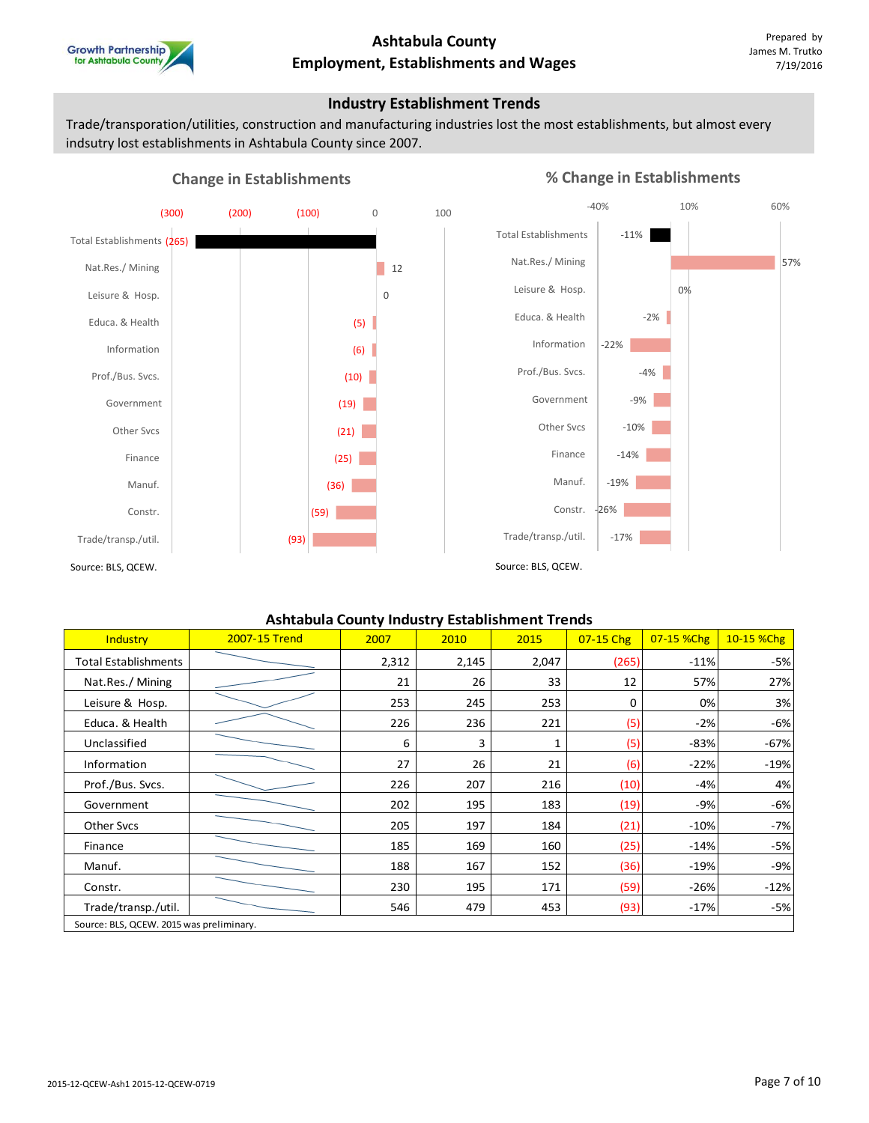

#### **Industry Establishment Trends**

Trade/transporation/utilities, construction and manufacturing industries lost the most establishments, but almost every indsutry lost establishments in Ashtabula County since 2007.



### **% Change in Establishments**



#### **Ashtabula County Industry Establishment Trends**

| Industry                                 | 2007-15 Trend | 2007  | 2010  | 2015  | 07-15 Chg | 07-15 %Chg | 10-15 %Chg |
|------------------------------------------|---------------|-------|-------|-------|-----------|------------|------------|
| <b>Total Establishments</b>              |               | 2,312 | 2,145 | 2,047 | (265)     | $-11%$     | $-5%$      |
| Nat.Res./Mining                          |               | 21    | 26    | 33    | 12        | 57%        | 27%        |
| Leisure & Hosp.                          |               | 253   | 245   | 253   | 0         | 0%         | 3%         |
| Educa. & Health                          |               | 226   | 236   | 221   | (5)       | $-2%$      | -6%        |
| Unclassified                             |               | 6     | 3     | 1     | (5)       | $-83%$     | $-67%$     |
| Information                              |               | 27    | 26    | 21    | (6)       | $-22%$     | $-19%$     |
| Prof./Bus. Svcs.                         |               | 226   | 207   | 216   | (10)      | $-4%$      | 4%         |
| Government                               |               | 202   | 195   | 183   | (19)      | -9%        | -6%        |
| Other Svcs                               |               | 205   | 197   | 184   | (21)      | $-10%$     | $-7%$      |
| Finance                                  |               | 185   | 169   | 160   | (25)      | $-14%$     | $-5%$      |
| Manuf.                                   |               | 188   | 167   | 152   | (36)      | $-19%$     | -9%        |
| Constr.                                  |               | 230   | 195   | 171   | (59)      | $-26%$     | $-12%$     |
| Trade/transp./util.                      |               | 546   | 479   | 453   | (93)      | $-17%$     | $-5%$      |
| Source: BLS, QCEW. 2015 was preliminary. |               |       |       |       |           |            |            |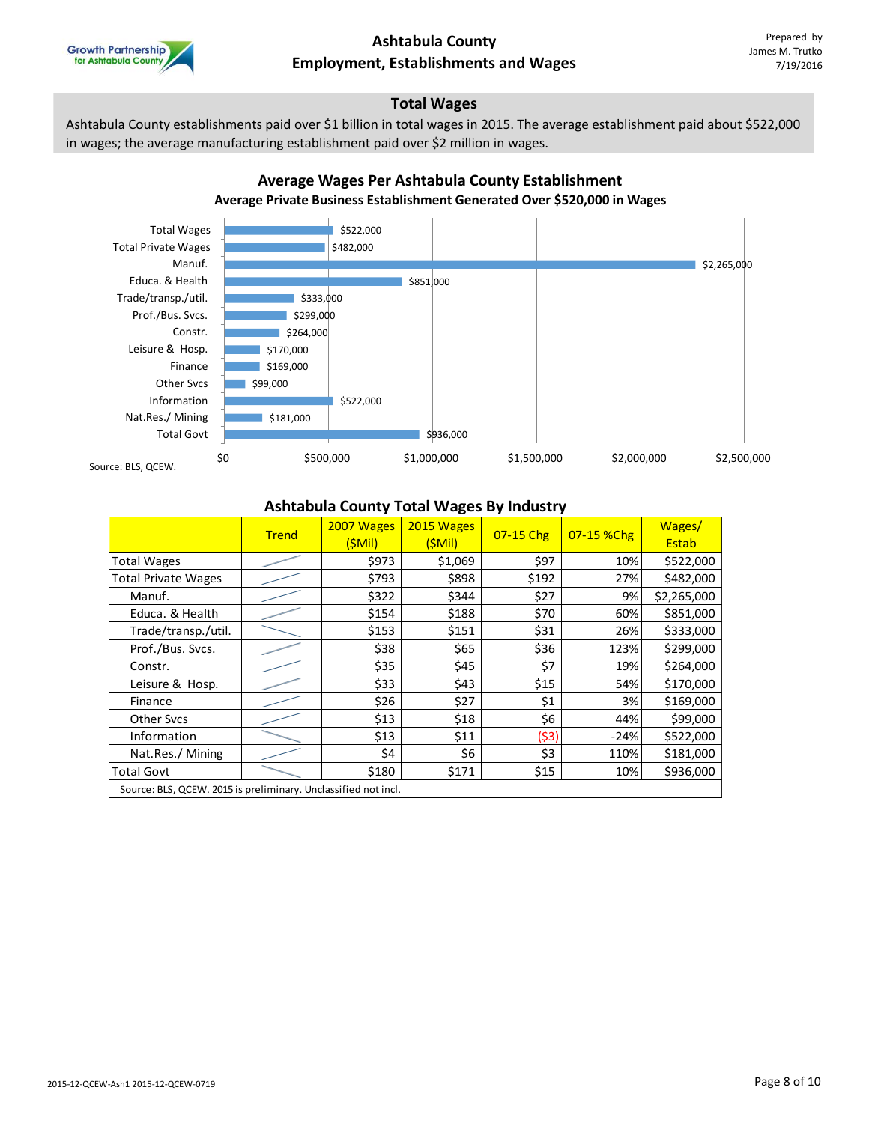

### **Total Wages**

Ashtabula County establishments paid over \$1 billion in total wages in 2015. The average establishment paid about \$522,000 in wages; the average manufacturing establishment paid over \$2 million in wages.

**Average Wages Per Ashtabula County Establishment**



#### **Ashtabula County Total Wages By Industry**

|                                                                | <b>Trend</b> | 2007 Wages<br>(SMil) | 2015 Wages<br>(SMil) | 07-15 Chg | 07-15 %Chg | Wages/<br>Estab |
|----------------------------------------------------------------|--------------|----------------------|----------------------|-----------|------------|-----------------|
| <b>Total Wages</b>                                             |              | \$973                | \$1,069              | \$97      | 10%        | \$522,000       |
| <b>Total Private Wages</b>                                     |              | \$793                | \$898                | \$192     | 27%        | \$482,000       |
| Manuf.                                                         |              | \$322                | \$344                | \$27      | 9%         | \$2,265,000     |
| Educa. & Health                                                |              | \$154                | \$188                | \$70      | 60%        | \$851,000       |
| Trade/transp./util.                                            |              | \$153                | \$151                | \$31      | 26%        | \$333,000       |
| Prof./Bus. Svcs.                                               |              | \$38                 | \$65                 | \$36      | 123%       | \$299,000       |
| Constr.                                                        |              | \$35                 | \$45                 | \$7       | 19%        | \$264,000       |
| Leisure & Hosp.                                                |              | \$33                 | \$43                 | \$15      | 54%        | \$170,000       |
| Finance                                                        |              | \$26                 | \$27                 | \$1       | 3%         | \$169,000       |
| <b>Other Sycs</b>                                              |              | \$13                 | \$18                 | \$6       | 44%        | \$99,000        |
| Information                                                    |              | \$13                 | \$11                 | (\$3)     | $-24%$     | \$522,000       |
| Nat.Res./Mining                                                |              | \$4                  | \$6                  | \$3       | 110%       | \$181,000       |
| <b>Total Govt</b>                                              |              | \$180                | \$171                | \$15      | 10%        | \$936,000       |
| Source: BLS, QCEW. 2015 is preliminary. Unclassified not incl. |              |                      |                      |           |            |                 |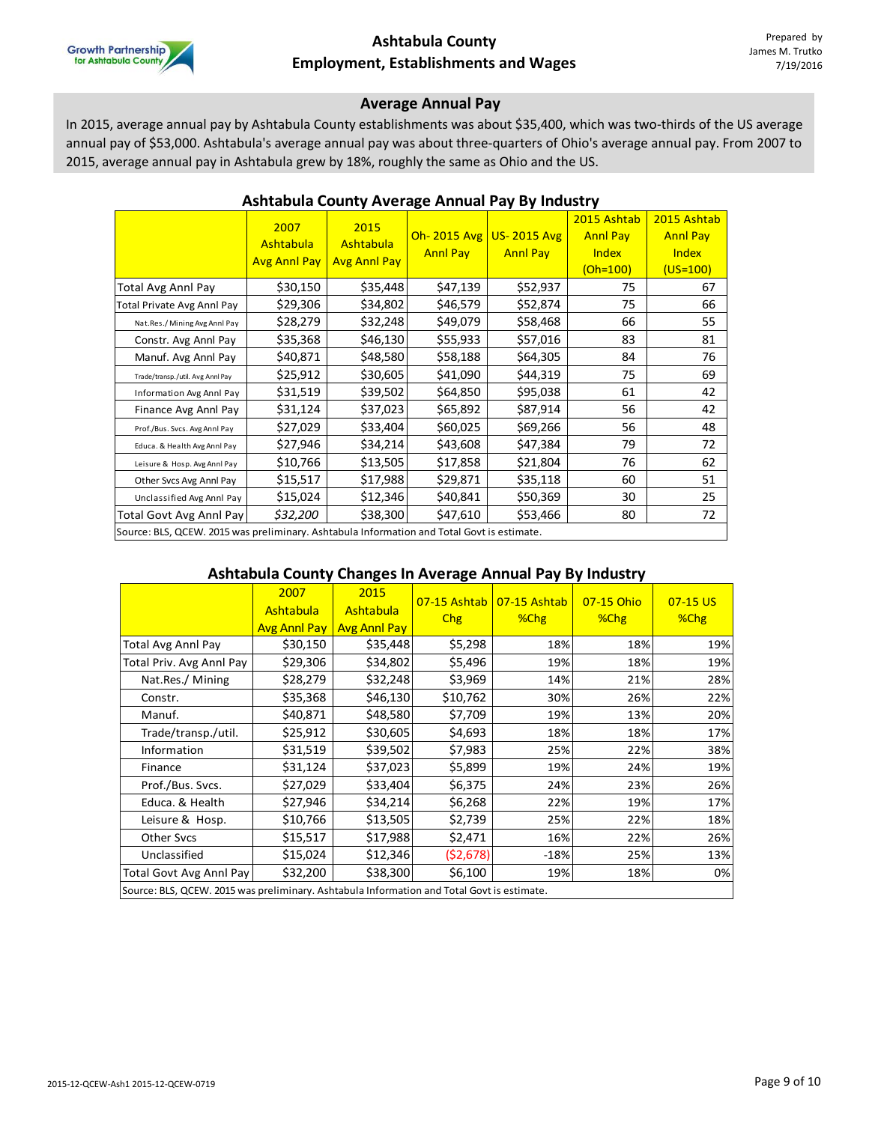

#### **Average Annual Pay**

In 2015, average annual pay by Ashtabula County establishments was about \$35,400, which was two-thirds of the US average annual pay of \$53,000. Ashtabula's average annual pay was about three-quarters of Ohio's average annual pay. From 2007 to 2015, average annual pay in Ashtabula grew by 18%, roughly the same as Ohio and the US.

|                                                                                           | 2007                | 2015                |                 |                    | 2015 Ashtab     | 2015 Ashtab     |  |  |  |
|-------------------------------------------------------------------------------------------|---------------------|---------------------|-----------------|--------------------|-----------------|-----------------|--|--|--|
|                                                                                           | Ashtabula           | Ashtabula           | Oh- $2015$ Avg  | <b>US-2015 Avg</b> | <b>Annl Pay</b> | <b>Annl Pay</b> |  |  |  |
|                                                                                           | <b>Avg Anni Pay</b> | <b>Avg Annl Pay</b> | <b>Annl Pay</b> | <b>Annl Pay</b>    | <b>Index</b>    | <b>Index</b>    |  |  |  |
|                                                                                           |                     |                     |                 |                    | $(Oh=100)$      | $(US=100)$      |  |  |  |
| <b>Total Avg Annl Pay</b>                                                                 | \$30,150            | \$35,448            | \$47,139        | \$52,937           | 75              | 67              |  |  |  |
| <b>Total Private Avg Annl Pay</b>                                                         | \$29,306            | \$34,802            | \$46,579        | \$52,874           | 75              | 66              |  |  |  |
| Nat.Res./Mining Avg Annl Pay                                                              | \$28,279            | \$32,248            | \$49,079        | \$58,468           | 66              | 55              |  |  |  |
| Constr. Avg Annl Pay                                                                      | \$35,368            | \$46,130            | \$55,933        | \$57,016           | 83              | 81              |  |  |  |
| Manuf. Avg Annl Pay                                                                       | \$40,871            | \$48,580            | \$58,188        | \$64,305           | 84              | 76              |  |  |  |
| Trade/transp./util. Avg Annl Pay                                                          | \$25,912            | \$30,605            | \$41,090        | \$44,319           | 75              | 69              |  |  |  |
| Information Avg Annl Pay                                                                  | \$31,519            | \$39,502            | \$64,850        | \$95,038           | 61              | 42              |  |  |  |
| Finance Avg Annl Pay                                                                      | \$31,124            | \$37,023            | \$65,892        | \$87,914           | 56              | 42              |  |  |  |
| Prof./Bus. Svcs. Avg Annl Pay                                                             | \$27,029            | \$33,404            | \$60,025        | \$69,266           | 56              | 48              |  |  |  |
| Educa. & Health Avg Annl Pay                                                              | \$27,946            | \$34,214            | \$43,608        | \$47,384           | 79              | 72              |  |  |  |
| Leisure & Hosp. Avg Annl Pay                                                              | \$10,766            | \$13,505            | \$17,858        | \$21,804           | 76              | 62              |  |  |  |
| Other Svcs Avg Annl Pay                                                                   | \$15,517            | \$17,988            | \$29,871        | \$35,118           | 60              | 51              |  |  |  |
| Unclassified Avg Annl Pay                                                                 | \$15,024            | \$12,346            | \$40,841        | \$50,369           | 30              | 25              |  |  |  |
| <b>Total Govt Avg Annl Pay</b>                                                            | \$32,200            | \$38,300            | \$47,610        | \$53,466           | 80              | 72              |  |  |  |
| Source: BLS, OCEW, 2015 was preliminary, Ashtabula Information and Total Goyt is estimate |                     |                     |                 |                    |                 |                 |  |  |  |

#### **Ashtabula County Average Annual Pay By Industry**

Source: BLS, QCEW. 2015 was preliminary. Ashtabula Information and Total Govt is estimate.

### **Ashtabula County Changes In Average Annual Pay By Industry**

|                                                                                            | 2007<br><b>Ashtabula</b><br><b>Avg Anni Pay</b> | 2015<br>Ashtabula<br><b>Avg Annl Pay</b> | 07-15 Ashtab<br><b>Chg</b> | 07-15 Ashtab<br>%Chg | 07-15 Ohio<br>%Chg | $07-15$ US<br>$%$ Chg |  |  |  |  |
|--------------------------------------------------------------------------------------------|-------------------------------------------------|------------------------------------------|----------------------------|----------------------|--------------------|-----------------------|--|--|--|--|
| Total Avg Annl Pay                                                                         | \$30,150                                        | \$35,448                                 | \$5,298                    | 18%                  | 18%                | 19%                   |  |  |  |  |
| Total Priv. Avg Annl Pay                                                                   | \$29,306                                        | \$34,802                                 | \$5,496                    | 19%                  | 18%                | 19%                   |  |  |  |  |
| Nat.Res./ Mining                                                                           | \$28,279                                        | \$32,248                                 | \$3,969                    | 14%                  | 21%                | 28%                   |  |  |  |  |
| Constr.                                                                                    | \$35,368                                        | \$46,130                                 | \$10,762                   | 30%                  | 26%                | 22%                   |  |  |  |  |
| Manuf.                                                                                     | \$40,871                                        | \$48,580                                 | \$7,709                    | 19%                  | 13%                | 20%                   |  |  |  |  |
| Trade/transp./util.                                                                        | \$25,912                                        | \$30,605                                 | \$4,693                    | 18%                  | 18%                | 17%                   |  |  |  |  |
| Information                                                                                | \$31,519                                        | \$39,502                                 | \$7,983                    | 25%                  | 22%                | 38%                   |  |  |  |  |
| Finance                                                                                    | \$31,124                                        | \$37,023                                 | \$5,899                    | 19%                  | 24%                | 19%                   |  |  |  |  |
| Prof./Bus. Svcs.                                                                           | \$27,029                                        | \$33,404                                 | \$6,375                    | 24%                  | 23%                | 26%                   |  |  |  |  |
| Educa. & Health                                                                            | \$27,946                                        | \$34,214                                 | \$6,268                    | 22%                  | 19%                | 17%                   |  |  |  |  |
| Leisure & Hosp.                                                                            | \$10,766                                        | \$13,505                                 | \$2,739                    | 25%                  | 22%                | 18%                   |  |  |  |  |
| <b>Other Svcs</b>                                                                          | \$15,517                                        | \$17,988                                 | \$2,471                    | 16%                  | 22%                | 26%                   |  |  |  |  |
| Unclassified                                                                               | \$15,024                                        | \$12,346                                 | (\$2,678)                  | $-18%$               | 25%                | 13%                   |  |  |  |  |
| Total Govt Avg Annl Pay                                                                    | \$32,200                                        | \$38,300                                 | \$6,100                    | 19%                  | 18%                | 0%                    |  |  |  |  |
| Source: BLS, QCEW. 2015 was preliminary. Ashtabula Information and Total Govt is estimate. |                                                 |                                          |                            |                      |                    |                       |  |  |  |  |